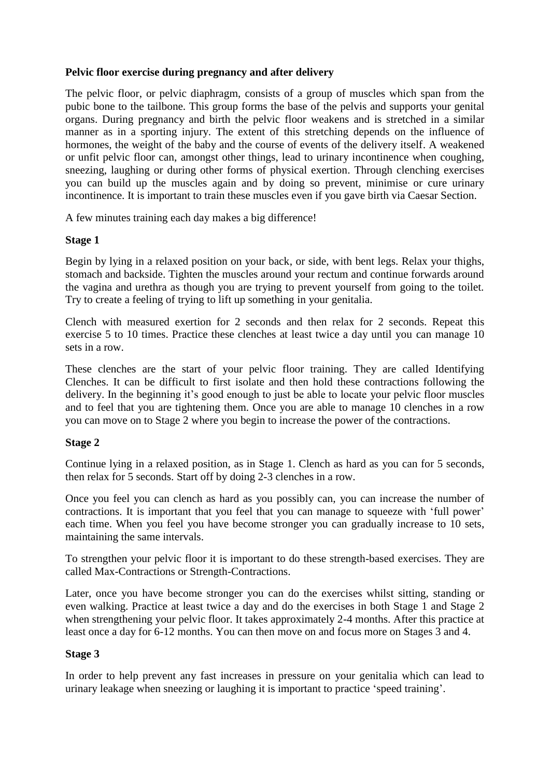# **Pelvic floor exercise during pregnancy and after delivery**

The pelvic floor, or pelvic diaphragm, consists of a group of muscles which span from the pubic bone to the tailbone. This group forms the base of the pelvis and supports your genital organs. During pregnancy and birth the pelvic floor weakens and is stretched in a similar manner as in a sporting injury. The extent of this stretching depends on the influence of hormones, the weight of the baby and the course of events of the delivery itself. A weakened or unfit pelvic floor can, amongst other things, lead to urinary incontinence when coughing, sneezing, laughing or during other forms of physical exertion. Through clenching exercises you can build up the muscles again and by doing so prevent, minimise or cure urinary incontinence. It is important to train these muscles even if you gave birth via Caesar Section.

A few minutes training each day makes a big difference!

# **Stage 1**

Begin by lying in a relaxed position on your back, or side, with bent legs. Relax your thighs, stomach and backside. Tighten the muscles around your rectum and continue forwards around the vagina and urethra as though you are trying to prevent yourself from going to the toilet. Try to create a feeling of trying to lift up something in your genitalia.

Clench with measured exertion for 2 seconds and then relax for 2 seconds. Repeat this exercise 5 to 10 times. Practice these clenches at least twice a day until you can manage 10 sets in a row.

These clenches are the start of your pelvic floor training. They are called Identifying Clenches. It can be difficult to first isolate and then hold these contractions following the delivery. In the beginning it's good enough to just be able to locate your pelvic floor muscles and to feel that you are tightening them. Once you are able to manage 10 clenches in a row you can move on to Stage 2 where you begin to increase the power of the contractions.

### **Stage 2**

Continue lying in a relaxed position, as in Stage 1. Clench as hard as you can for 5 seconds, then relax for 5 seconds. Start off by doing 2-3 clenches in a row.

Once you feel you can clench as hard as you possibly can, you can increase the number of contractions. It is important that you feel that you can manage to squeeze with 'full power' each time. When you feel you have become stronger you can gradually increase to 10 sets, maintaining the same intervals.

To strengthen your pelvic floor it is important to do these strength-based exercises. They are called Max-Contractions or Strength-Contractions.

Later, once you have become stronger you can do the exercises whilst sitting, standing or even walking. Practice at least twice a day and do the exercises in both Stage 1 and Stage 2 when strengthening your pelvic floor. It takes approximately 2-4 months. After this practice at least once a day for 6-12 months. You can then move on and focus more on Stages 3 and 4.

### **Stage 3**

In order to help prevent any fast increases in pressure on your genitalia which can lead to urinary leakage when sneezing or laughing it is important to practice 'speed training'.